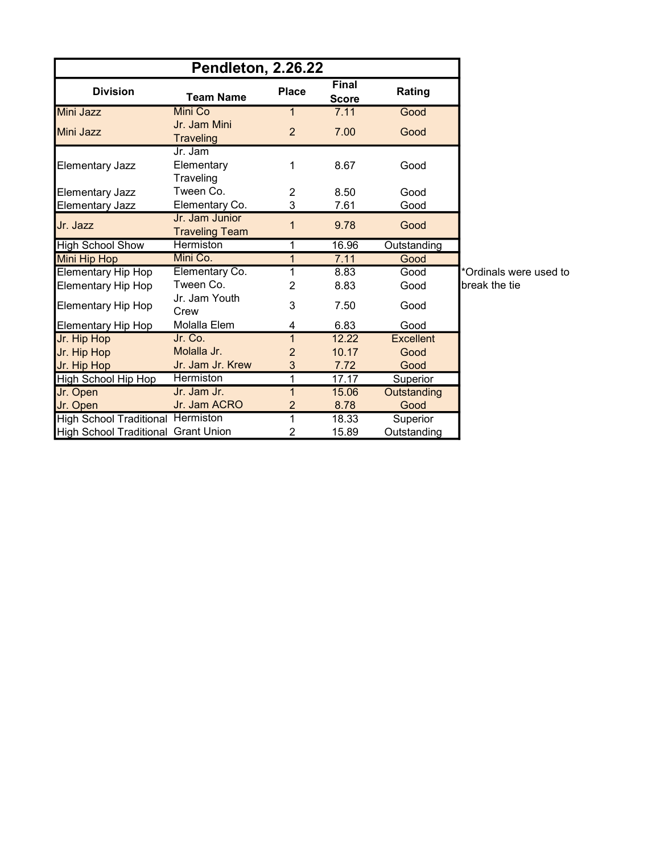| Pendleton, 2.26.22                       |                                         |                |                              |                    |           |  |
|------------------------------------------|-----------------------------------------|----------------|------------------------------|--------------------|-----------|--|
| <b>Division</b>                          | <b>Team Name</b>                        | <b>Place</b>   | <b>Final</b><br><b>Score</b> | Rating             |           |  |
| <b>Mini Jazz</b>                         | <b>Mini Co</b>                          | 1              | 7.11                         | Good               |           |  |
| <b>Mini Jazz</b>                         | Jr. Jam Mini<br>Traveling               | $\overline{2}$ | 7.00                         | Good               |           |  |
| <b>Elementary Jazz</b>                   | Jr. Jam<br>Elementary<br>Traveling      | 1              | 8.67                         | Good               |           |  |
| <b>Elementary Jazz</b>                   | Tween Co.                               | $\overline{2}$ | 8.50                         | Good               |           |  |
| <b>Elementary Jazz</b>                   | Elementary Co.                          | 3              | 7.61                         | Good               |           |  |
| Jr. Jazz                                 | Jr. Jam Junior<br><b>Traveling Team</b> | 1              | 9.78                         | Good               |           |  |
| <b>High School Show</b>                  | <b>Hermiston</b>                        | 1              | 16.96                        | Outstanding        |           |  |
| <b>Mini Hip Hop</b>                      | Mini Co.                                | 1              | 7.11                         | Good               |           |  |
| <b>Elementary Hip Hop</b>                | Elementary Co.                          | 1              | 8.83                         | Good               | *Ordinals |  |
| Elementary Hip Hop                       | Tween Co.                               | $\overline{2}$ | 8.83                         | Good               | break the |  |
| <b>Elementary Hip Hop</b>                | Jr. Jam Youth<br>Crew                   | 3              | 7.50                         | Good               |           |  |
| <b>Elementary Hip Hop</b>                | Molalla Elem                            | 4              | 6.83                         | Good               |           |  |
| Jr. Hip Hop                              | Jr. Co.                                 | $\mathbf{1}$   | 12.22                        | <b>Excellent</b>   |           |  |
| Jr. Hip Hop                              | Molalla Jr.                             | $\overline{2}$ | 10.17                        | Good               |           |  |
| Jr. Hip Hop                              | Jr. Jam Jr. Krew                        | 3              | 7.72                         | Good               |           |  |
| High School Hip Hop                      | <b>Hermiston</b>                        | 1              | 17.17                        | Superior           |           |  |
| Jr. Open                                 | Jr. Jam Jr.                             | 1              | 15.06                        | <b>Outstanding</b> |           |  |
| Jr. Open                                 | Jr. Jam ACRO                            | $\overline{2}$ | 8.78                         | Good               |           |  |
| <b>High School Traditional Hermiston</b> |                                         | 1              | 18.33                        | Superior           |           |  |
| High School Traditional Grant Union      |                                         | 2              | 15.89                        | Outstanding        |           |  |

s were used to e tie